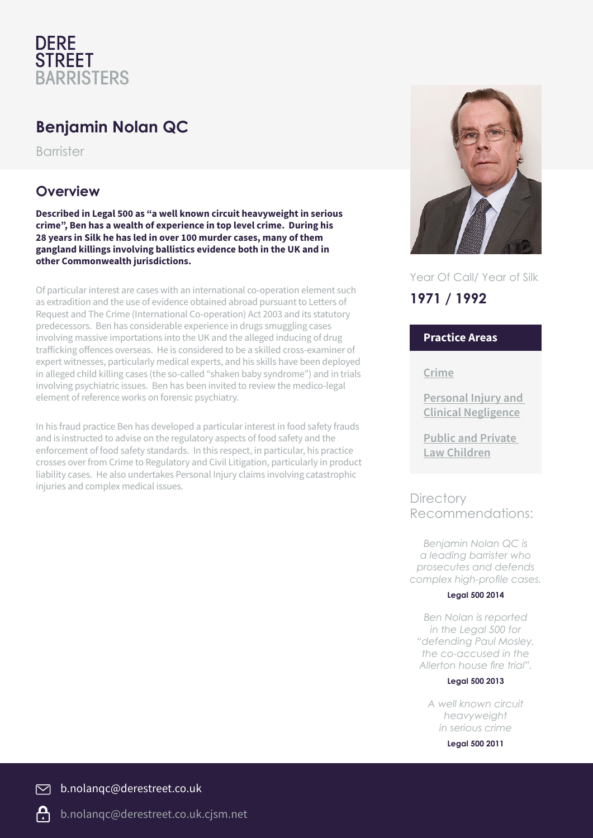## **DERE STREET BARRISTERS**

# **Benjamin Nolan QC**

Barrister

### **Overview**

**Described in Legal 500 as "a well known circuit heavyweight in serious crime", Ben has a wealth of experience in top level crime. During his 28 years in Silk he has led in over 100 murder cases, many of them gangland killings involving ballistics evidence both in the UK and in other Commonwealth jurisdictions.**

Of particular interest are cases with an international co-operation element such as extradition and the use of evidence obtained abroad pursuant to Letters of Request and The Crime (International Co-operation) Act 2003 and its statutory predecessors. Ben has considerable experience in drugs smuggling cases involving massive importations into the UK and the alleged inducing of drug trafficking offences overseas. He is considered to be a skilled cross-examiner of expert witnesses, particularly medical experts, and his skills have been deployed in alleged child killing cases (the so-called "shaken baby syndrome") and in trials involving psychiatric issues. Ben has been invited to review the medico-legal element of reference works on forensic psychiatry.

In his fraud practice Ben has developed a particular interest in food safety frauds and is instructed to advise on the regulatory aspects of food safety and the enforcement of food safety standards. In this respect, in particular, his practice crosses over from Crime to Regulatory and Civil Litigation, particularly in product liability cases. He also undertakes Personal Injury claims involving catastrophic injuries and complex medical issues.



Year Of Call/ Year of Silk

## **1971 / 1992**

### **Practice Areas**

**Crime**

**Personal Injury and Clinical Negligence**

**Public and Private Law Children**

### **Directory** Recommendations:

*Benjamin Nolan QC is a leading barrister who prosecutes and defends complex high-profile cases.*

#### **Legal 500 2014**

*Ben Nolan is reported in the Legal 500 for "defending Paul Mosley, the co-accused in the Allerton house fire trial".*

#### **Legal 500 2013**

*A well known circuit heavyweight in serious crime*

**Legal 500 2011**

 $\overline{\triangleright}$ b.nolanqc@derestreet.co.uk